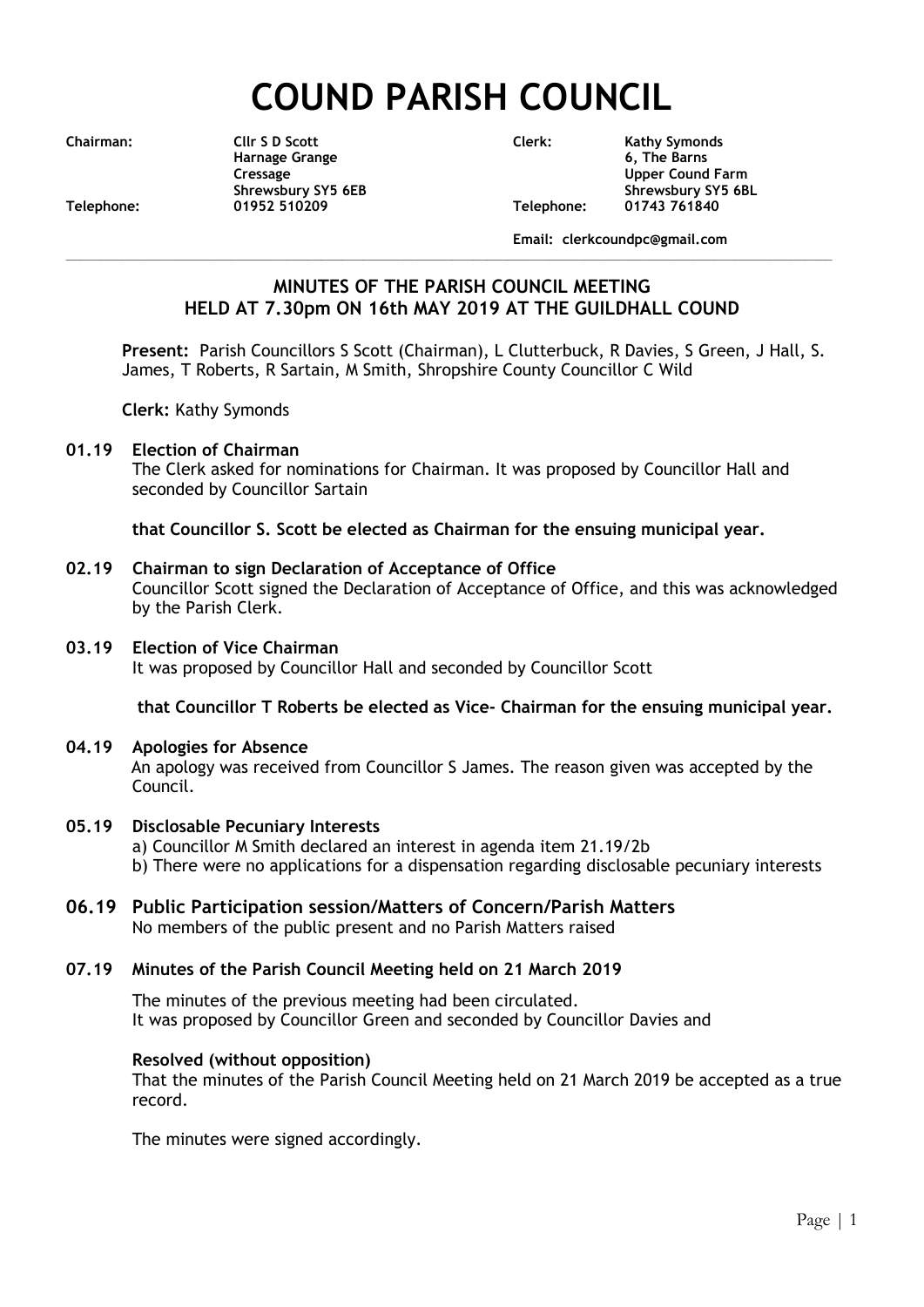# **COUND PARISH COUNCIL**

**Chairman: Cllr S D Scott Clerk: Kathy Symonds Harnage Grange 6, The Barns Cressage Cound Farm Upper Cound Farm Shrewsbury SY5 6EB** Shrewsbury SY5 6BL<br>01952 510209 01952 Telephone: 01743 761840 **Telephone: 01952 510209 Telephone: 01743 761840**

**Email: clerkcoundpc@gmail.com**

# **MINUTES OF THE PARISH COUNCIL MEETING HELD AT 7.30pm ON 16th MAY 2019 AT THE GUILDHALL COUND**

**\_\_\_\_\_\_\_\_\_\_\_\_\_\_\_\_\_\_\_\_\_\_\_\_\_\_\_\_\_\_\_\_\_\_\_\_\_\_\_\_\_\_\_\_\_\_\_\_\_\_\_\_\_\_\_\_\_\_\_\_\_\_\_\_\_\_\_\_\_\_\_\_\_\_\_\_\_\_\_\_\_\_\_\_\_\_\_\_\_\_\_\_\_\_\_\_\_\_\_\_\_\_\_\_\_\_\_\_\_\_\_**

**Present:** Parish Councillors S Scott (Chairman), L Clutterbuck, R Davies, S Green, J Hall, S. James, T Roberts, R Sartain, M Smith, Shropshire County Councillor C Wild

**Clerk:** Kathy Symonds

#### **01.19 Election of Chairman**

The Clerk asked for nominations for Chairman. It was proposed by Councillor Hall and seconded by Councillor Sartain

**that Councillor S. Scott be elected as Chairman for the ensuing municipal year.**

#### **02.19 Chairman to sign Declaration of Acceptance of Office**

Councillor Scott signed the Declaration of Acceptance of Office, and this was acknowledged by the Parish Clerk.

## **03.19 Election of Vice Chairman**

It was proposed by Councillor Hall and seconded by Councillor Scott

**that Councillor T Roberts be elected as Vice- Chairman for the ensuing municipal year.**

#### **04.19 Apologies for Absence**

An apology was received from Councillor S James. The reason given was accepted by the Council.

#### **05.19 Disclosable Pecuniary Interests**

- a) Councillor M Smith declared an interest in agenda item 21.19/2b
- b) There were no applications for a dispensation regarding disclosable pecuniary interests

## **06.19 Public Participation session/Matters of Concern/Parish Matters**

No members of the public present and no Parish Matters raised

# **07.19 Minutes of the Parish Council Meeting held on 21 March 2019**

The minutes of the previous meeting had been circulated. It was proposed by Councillor Green and seconded by Councillor Davies and

# **Resolved (without opposition)**

That the minutes of the Parish Council Meeting held on 21 March 2019 be accepted as a true record.

The minutes were signed accordingly.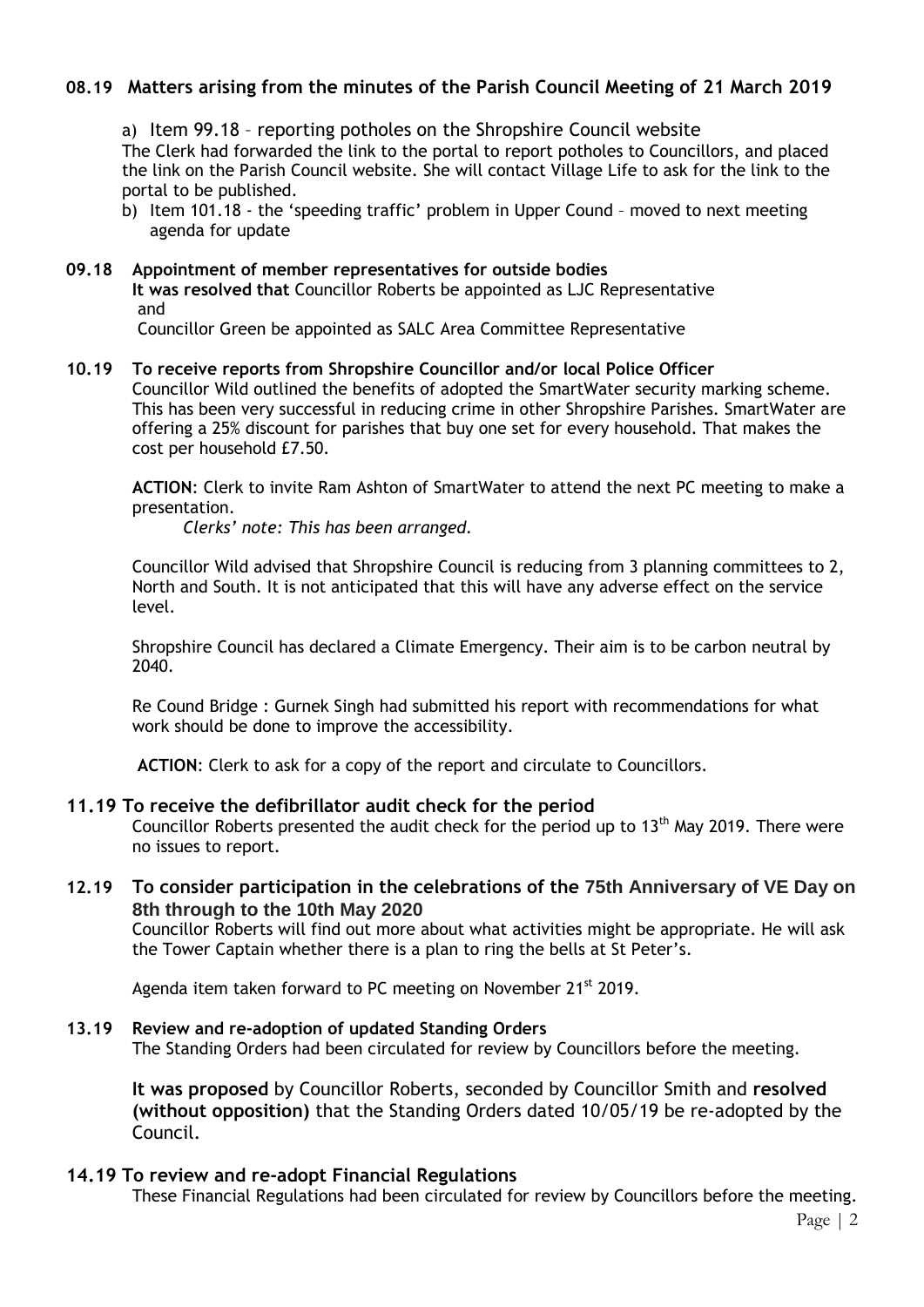# **08.19 Matters arising from the minutes of the Parish Council Meeting of 21 March 2019**

a) Item 99.18 – reporting potholes on the Shropshire Council website The Clerk had forwarded the link to the portal to report potholes to Councillors, and placed the link on the Parish Council website. She will contact Village Life to ask for the link to the portal to be published.

b) Item 101.18 - the 'speeding traffic' problem in Upper Cound – moved to next meeting agenda for update

#### **09.18 Appointment of member representatives for outside bodies**

**It was resolved that** Councillor Roberts be appointed as LJC Representative and

Councillor Green be appointed as SALC Area Committee Representative

#### **10.19 To receive reports from Shropshire Councillor and/or local Police Officer**

Councillor Wild outlined the benefits of adopted the SmartWater security marking scheme. This has been very successful in reducing crime in other Shropshire Parishes. SmartWater are offering a 25% discount for parishes that buy one set for every household. That makes the cost per household £7.50.

**ACTION**: Clerk to invite Ram Ashton of SmartWater to attend the next PC meeting to make a presentation.

*Clerks' note: This has been arranged.*

Councillor Wild advised that Shropshire Council is reducing from 3 planning committees to 2, North and South. It is not anticipated that this will have any adverse effect on the service level.

Shropshire Council has declared a Climate Emergency. Their aim is to be carbon neutral by 2040.

Re Cound Bridge : Gurnek Singh had submitted his report with recommendations for what work should be done to improve the accessibility.

**ACTION**: Clerk to ask for a copy of the report and circulate to Councillors.

#### **11.19 To receive the defibrillator audit check for the period**

Councillor Roberts presented the audit check for the period up to 13<sup>th</sup> May 2019. There were no issues to report.

**12.19 To consider participation in the celebrations of the 75th Anniversary of VE Day on 8th through to the 10th May 2020**

Councillor Roberts will find out more about what activities might be appropriate. He will ask the Tower Captain whether there is a plan to ring the bells at St Peter's.

Agenda item taken forward to PC meeting on November 21<sup>st</sup> 2019.

#### **13.19 Review and re-adoption of updated Standing Orders**

The Standing Orders had been circulated for review by Councillors before the meeting.

**It was proposed** by Councillor Roberts, seconded by Councillor Smith and **resolved (without opposition)** that the Standing Orders dated 10/05/19 be re-adopted by the Council.

## **14.19 To review and re-adopt Financial Regulations**

These Financial Regulations had been circulated for review by Councillors before the meeting.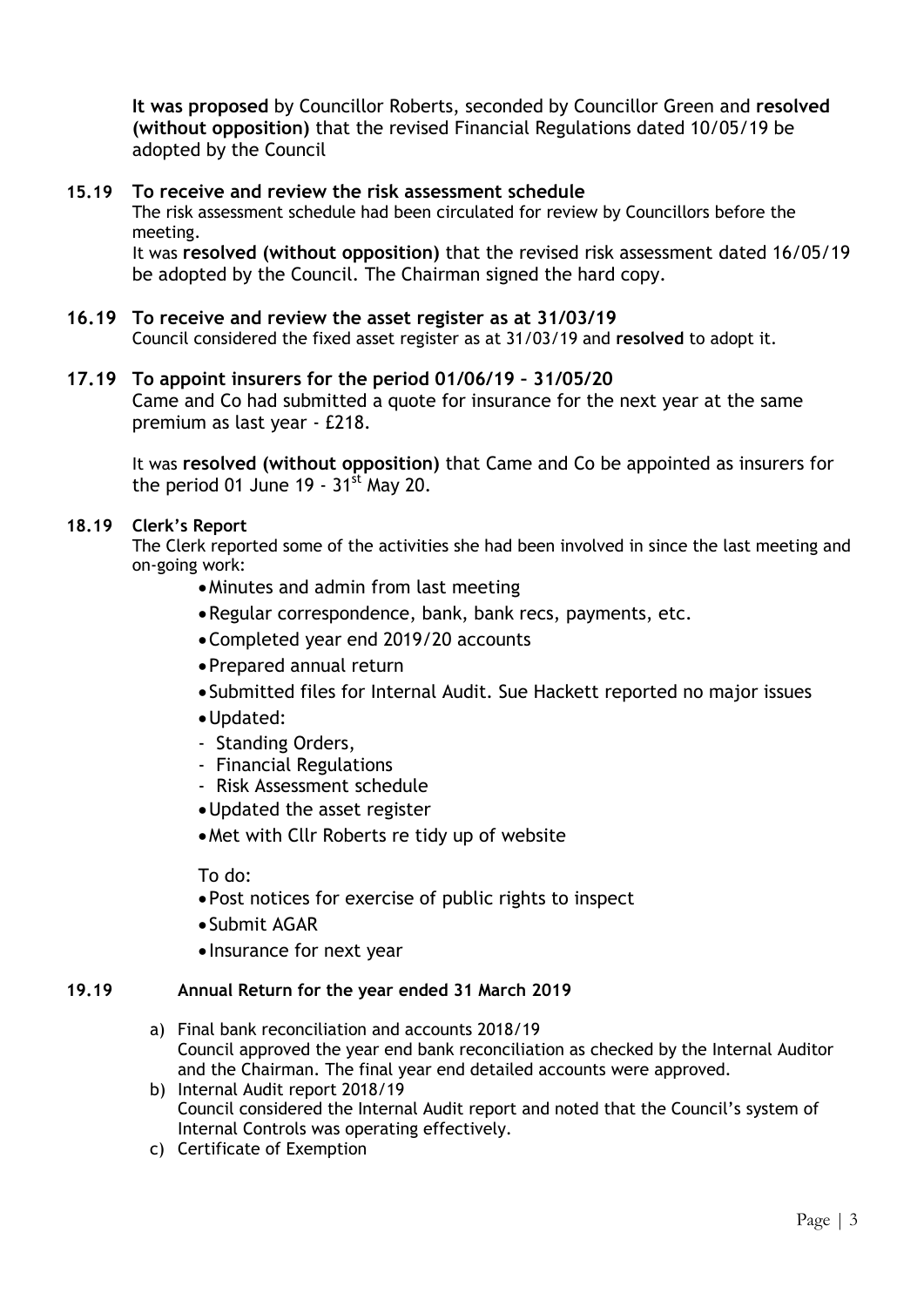**It was proposed** by Councillor Roberts, seconded by Councillor Green and **resolved (without opposition)** that the revised Financial Regulations dated 10/05/19 be adopted by the Council

# **15.19 To receive and review the risk assessment schedule**

The risk assessment schedule had been circulated for review by Councillors before the meeting.

 It was **resolved (without opposition)** that the revised risk assessment dated 16/05/19 be adopted by the Council. The Chairman signed the hard copy.

# **16.19 To receive and review the asset register as at 31/03/19**

Council considered the fixed asset register as at 31/03/19 and **resolved** to adopt it.

## **17.19 To appoint insurers for the period 01/06/19 – 31/05/20**

Came and Co had submitted a quote for insurance for the next year at the same premium as last year - £218.

It was **resolved (without opposition)** that Came and Co be appointed as insurers for the period 01 June 19 -  $31<sup>st</sup>$  May 20.

## **18.19 Clerk's Report**

The Clerk reported some of the activities she had been involved in since the last meeting and on-going work:

- Minutes and admin from last meeting
- Regular correspondence, bank, bank recs, payments, etc.
- Completed year end 2019/20 accounts
- Prepared annual return
- Submitted files for Internal Audit. Sue Hackett reported no major issues
- Updated:
- Standing Orders,
- Financial Regulations
- Risk Assessment schedule
- Updated the asset register
- Met with Cllr Roberts re tidy up of website

To do:

- Post notices for exercise of public rights to inspect
- Submit AGAR
- Insurance for next year

## **19.19 Annual Return for the year ended 31 March 2019**

- a) Final bank reconciliation and accounts 2018/19 Council approved the year end bank reconciliation as checked by the Internal Auditor and the Chairman. The final year end detailed accounts were approved.
- b) Internal Audit report 2018/19 Council considered the Internal Audit report and noted that the Council's system of Internal Controls was operating effectively.
- c) Certificate of Exemption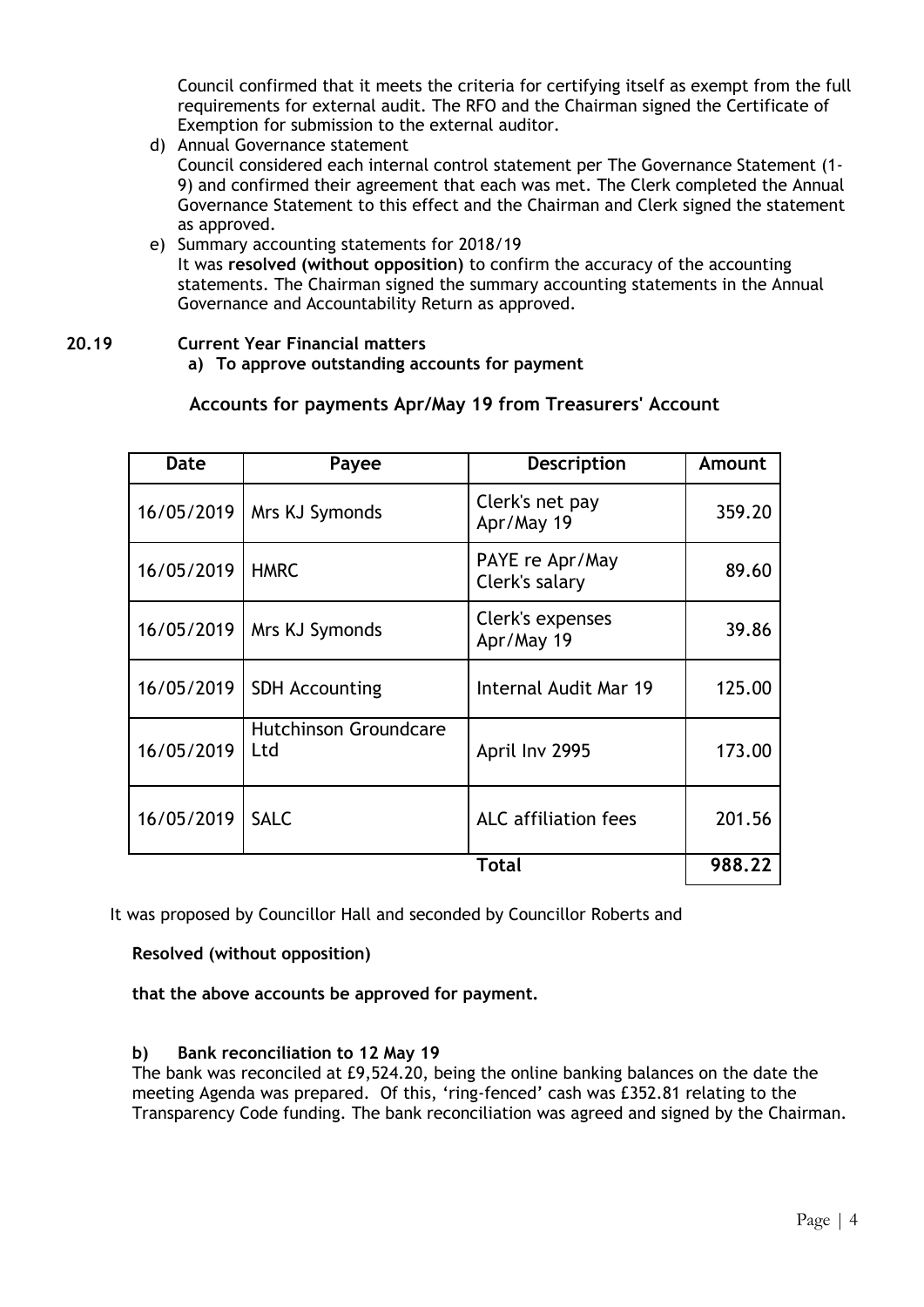Council confirmed that it meets the criteria for certifying itself as exempt from the full requirements for external audit. The RFO and the Chairman signed the Certificate of Exemption for submission to the external auditor.

- d) Annual Governance statement Council considered each internal control statement per The Governance Statement (1- 9) and confirmed their agreement that each was met. The Clerk completed the Annual Governance Statement to this effect and the Chairman and Clerk signed the statement as approved.
- e) Summary accounting statements for 2018/19 It was **resolved (without opposition)** to confirm the accuracy of the accounting statements. The Chairman signed the summary accounting statements in the Annual Governance and Accountability Return as approved.

## **20.19 Current Year Financial matters**

**a) To approve outstanding accounts for payment**

# **Accounts for payments Apr/May 19 from Treasurers' Account**

| Date       | Payee                               | Description                       | Amount |
|------------|-------------------------------------|-----------------------------------|--------|
| 16/05/2019 | Mrs KJ Symonds                      | Clerk's net pay<br>Apr/May 19     | 359.20 |
| 16/05/2019 | <b>HMRC</b>                         | PAYE re Apr/May<br>Clerk's salary | 89.60  |
| 16/05/2019 | Mrs KJ Symonds                      | Clerk's expenses<br>Apr/May 19    | 39.86  |
| 16/05/2019 | <b>SDH Accounting</b>               | Internal Audit Mar 19             | 125.00 |
| 16/05/2019 | <b>Hutchinson Groundcare</b><br>Ltd | April Inv 2995                    | 173.00 |
| 16/05/2019 | <b>SALC</b>                         | <b>ALC</b> affiliation fees       | 201.56 |
| Total      |                                     |                                   | 988.22 |

It was proposed by Councillor Hall and seconded by Councillor Roberts and

**Resolved (without opposition)**

**that the above accounts be approved for payment.**

## **b) Bank reconciliation to 12 May 19**

The bank was reconciled at £9,524.20, being the online banking balances on the date the meeting Agenda was prepared. Of this, 'ring-fenced' cash was £352.81 relating to the Transparency Code funding. The bank reconciliation was agreed and signed by the Chairman.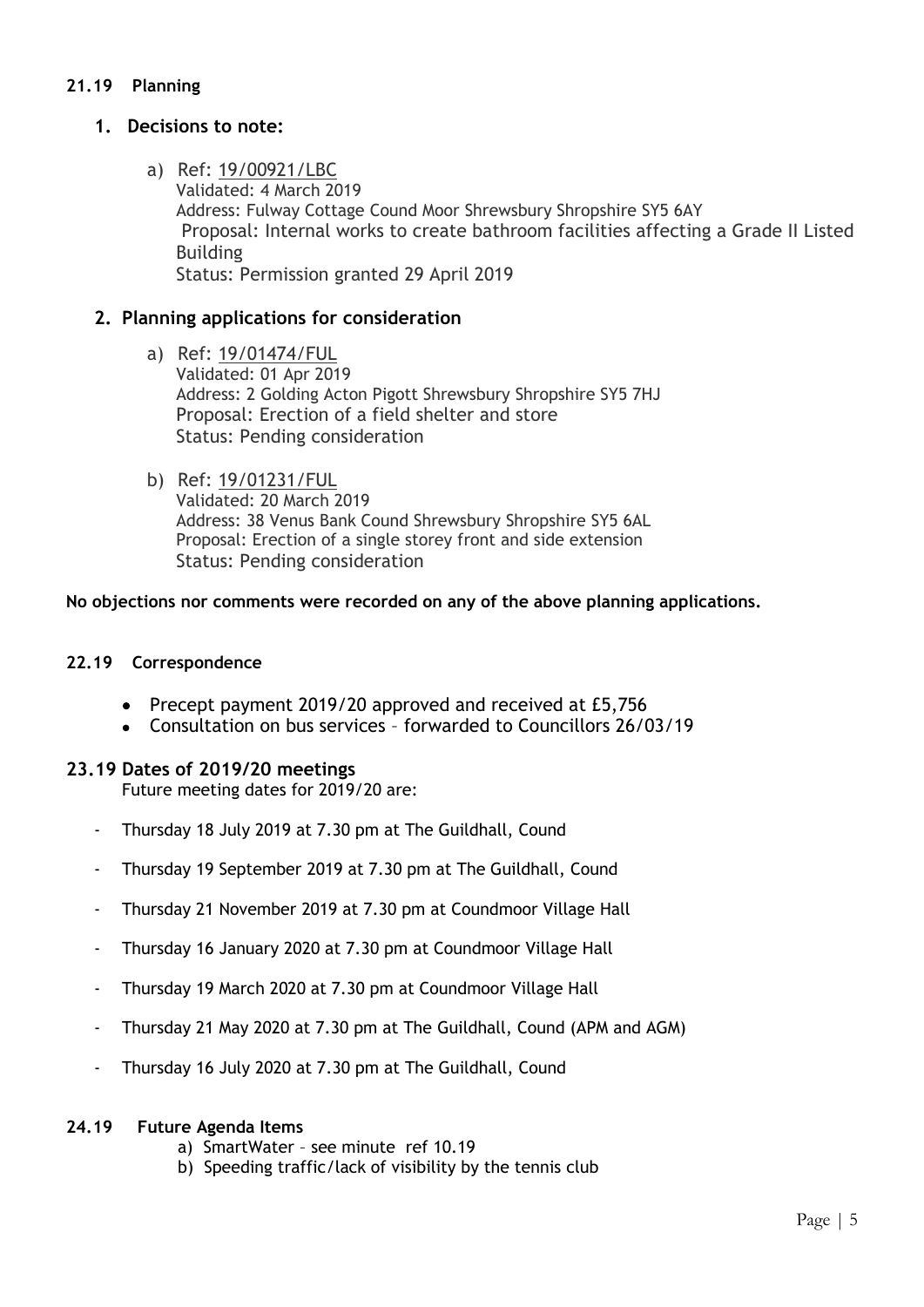# **21.19 Planning**

# **1. Decisions to note:**

a) Ref: 19/00921/LBC Validated: 4 March 2019 Address: Fulway Cottage Cound Moor Shrewsbury Shropshire SY5 6AY Proposal: Internal works to create bathroom facilities affecting a Grade II Listed Building Status: Permission granted 29 April 2019

# **2. Planning applications for consideration**

- a) Ref: 19/01474/FUL Validated: 01 Apr 2019 Address: 2 Golding Acton Pigott Shrewsbury Shropshire SY5 7HJ Proposal: Erection of a field shelter and store Status: Pending consideration
- b) Ref: 19/01231/FUL Validated: 20 March 2019 Address: 38 Venus Bank Cound Shrewsbury Shropshire SY5 6AL Proposal: Erection of a single storey front and side extension Status: Pending consideration

**No objections nor comments were recorded on any of the above planning applications.**

## **22.19 Correspondence**

- Precept payment 2019/20 approved and received at £5,756
- Consultation on bus services forwarded to Councillors 26/03/19

## **23.19 Dates of 2019/20 meetings**

Future meeting dates for 2019/20 are:

- Thursday 18 July 2019 at 7.30 pm at The Guildhall, Cound
- Thursday 19 September 2019 at 7.30 pm at The Guildhall, Cound
- Thursday 21 November 2019 at 7.30 pm at Coundmoor Village Hall
- Thursday 16 January 2020 at 7.30 pm at Coundmoor Village Hall
- Thursday 19 March 2020 at 7.30 pm at Coundmoor Village Hall
- Thursday 21 May 2020 at 7.30 pm at The Guildhall, Cound (APM and AGM)
- Thursday 16 July 2020 at 7.30 pm at The Guildhall, Cound

#### **24.19 Future Agenda Items**

- a) SmartWater see minute ref 10.19
- b) Speeding traffic/lack of visibility by the tennis club